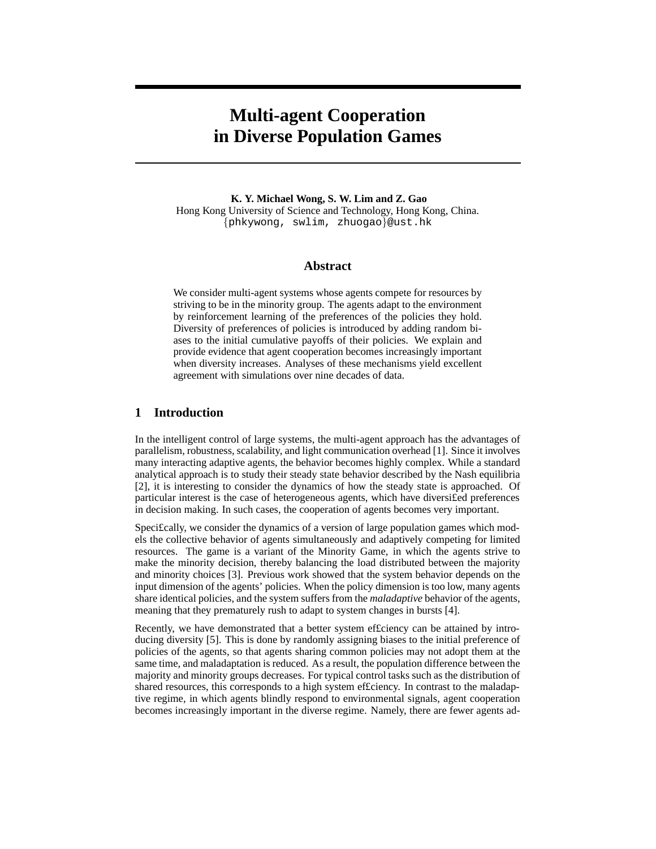# **Multi-agent Cooperation in Diverse Population Games**

**K. Y. Michael Wong, S. W. Lim and Z. Gao** Hong Kong University of Science and Technology, Hong Kong, China. {phkywong, swlim, zhuogao}@ust.hk

#### **Abstract**

We consider multi-agent systems whose agents compete for resources by striving to be in the minority group. The agents adapt to the environment by reinforcement learning of the preferences of the policies they hold. Diversity of preferences of policies is introduced by adding random biases to the initial cumulative payoffs of their policies. We explain and provide evidence that agent cooperation becomes increasingly important when diversity increases. Analyses of these mechanisms yield excellent agreement with simulations over nine decades of data.

## **1 Introduction**

In the intelligent control of large systems, the multi-agent approach has the advantages of parallelism, robustness, scalability, and light communication overhead [1]. Since it involves many interacting adaptive agents, the behavior becomes highly complex. While a standard analytical approach is to study their steady state behavior described by the Nash equilibria [2], it is interesting to consider the dynamics of how the steady state is approached. Of particular interest is the case of heterogeneous agents, which have diversifed preferences in decision making. In such cases, the cooperation of agents becomes very important.

Speci£cally, we consider the dynamics of a version of large population games which models the collective behavior of agents simultaneously and adaptively competing for limited resources. The game is a variant of the Minority Game, in which the agents strive to make the minority decision, thereby balancing the load distributed between the majority and minority choices [3]. Previous work showed that the system behavior depends on the input dimension of the agents' policies. When the policy dimension is too low, many agents share identical policies, and the system suffers from the *maladaptive* behavior of the agents, meaning that they prematurely rush to adapt to system changes in bursts [4].

Recently, we have demonstrated that a better system efficiency can be attained by introducing diversity [5]. This is done by randomly assigning biases to the initial preference of policies of the agents, so that agents sharing common policies may not adopt them at the same time, and maladaptation is reduced. As a result, the population difference between the majority and minority groups decreases. For typical control tasks such as the distribution of shared resources, this corresponds to a high system ef£ciency. In contrast to the maladaptive regime, in which agents blindly respond to environmental signals, agent cooperation becomes increasingly important in the diverse regime. Namely, there are fewer agents ad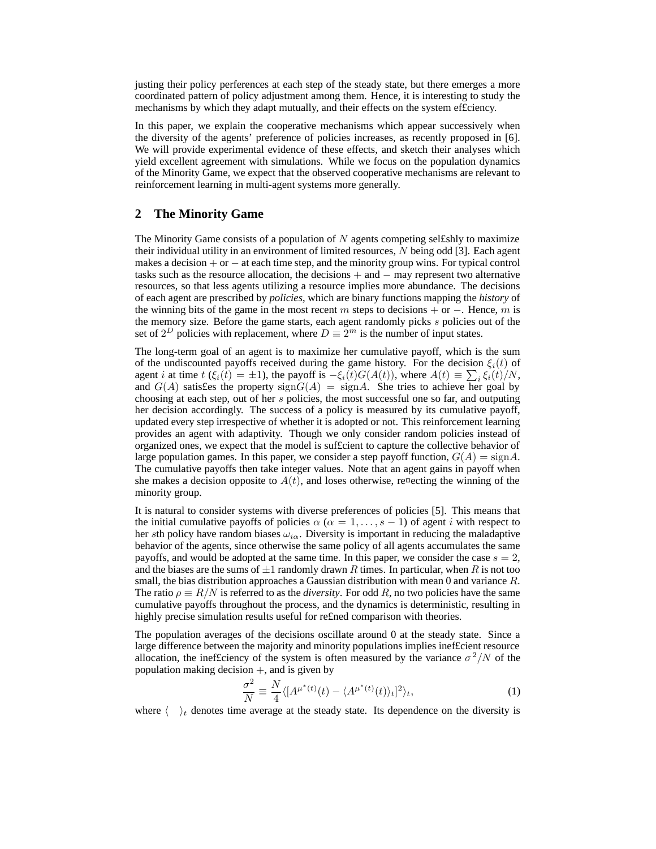justing their policy perferences at each step of the steady state, but there emerges a more coordinated pattern of policy adjustment among them. Hence, it is interesting to study the mechanisms by which they adapt mutually, and their effects on the system ef£ciency.

In this paper, we explain the cooperative mechanisms which appear successively when the diversity of the agents' preference of policies increases, as recently proposed in [6]. We will provide experimental evidence of these effects, and sketch their analyses which yield excellent agreement with simulations. While we focus on the population dynamics of the Minority Game, we expect that the observed cooperative mechanisms are relevant to reinforcement learning in multi-agent systems more generally.

### **2 The Minority Game**

The Minority Game consists of a population of  $N$  agents competing selfishly to maximize their individual utility in an environment of limited resources, N being odd [3]. Each agent makes a decision  $+$  or  $-$  at each time step, and the minority group wins. For typical control tasks such as the resource allocation, the decisions  $+$  and  $-$  may represent two alternative resources, so that less agents utilizing a resource implies more abundance. The decisions of each agent are prescribed by *policies*, which are binary functions mapping the *history* of the winning bits of the game in the most recent m steps to decisions  $+$  or  $-$ . Hence, m is the memory size. Before the game starts, each agent randomly picks s policies out of the set of  $2^D$  policies with replacement, where  $D \equiv 2^m$  is the number of input states.

The long-term goal of an agent is to maximize her cumulative payoff, which is the sum of the undiscounted payoffs received during the game history. For the decision  $\xi_i(t)$  of agent *i* at time  $t(\xi_i(t) = \pm 1)$ , the payoff is  $-\xi_i(t)G(A(t))$ , where  $A(t) \equiv \sum_i \xi_i(t)/N$ , and  $G(A)$  satisfes the property  $sign G(A) = sign A$ . She tries to achieve her goal by choosing at each step, out of her s policies, the most successful one so far, and outputing her decision accordingly. The success of a policy is measured by its cumulative payoff, updated every step irrespective of whether it is adopted or not. This reinforcement learning provides an agent with adaptivity. Though we only consider random policies instead of organized ones, we expect that the model is suf£cient to capture the collective behavior of large population games. In this paper, we consider a step payoff function,  $G(A) = \text{sign}A$ . The cumulative payoffs then take integer values. Note that an agent gains in payoff when she makes a decision opposite to  $A(t)$ , and loses otherwise, re¤ecting the winning of the minority group.

It is natural to consider systems with diverse preferences of policies [5]. This means that the initial cumulative payoffs of policies  $\alpha$  ( $\alpha = 1, \ldots, s - 1$ ) of agent i with respect to her sth policy have random biases  $\omega_{i\alpha}$ . Diversity is important in reducing the maladaptive behavior of the agents, since otherwise the same policy of all agents accumulates the same payoffs, and would be adopted at the same time. In this paper, we consider the case  $s = 2$ , and the biases are the sums of  $\pm 1$  randomly drawn R times. In particular, when R is not too small, the bias distribution approaches a Gaussian distribution with mean 0 and variance R. The ratio  $\rho \equiv R/N$  is referred to as the *diversity*. For odd R, no two policies have the same cumulative payoffs throughout the process, and the dynamics is deterministic, resulting in highly precise simulation results useful for re£ned comparison with theories.

The population averages of the decisions oscillate around 0 at the steady state. Since a large difference between the majority and minority populations implies inef£cient resource allocation, the inefficiency of the system is often measured by the variance  $\sigma^2/N$  of the population making decision  $+$ , and is given by

$$
\frac{\sigma^2}{N} \equiv \frac{N}{4} \langle [A^{\mu^*(t)}(t) - \langle A^{\mu^*(t)}(t) \rangle_t]^2 \rangle_t,\tag{1}
$$

where  $\langle \rangle_t$  denotes time average at the steady state. Its dependence on the diversity is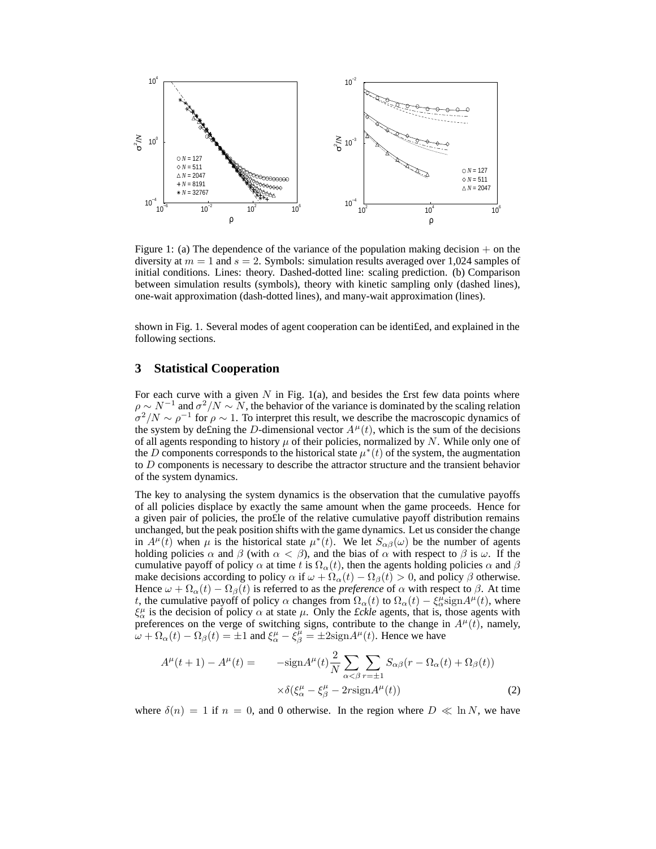

Figure 1: (a) The dependence of the variance of the population making decision  $+$  on the diversity at  $m = 1$  and  $s = 2$ . Symbols: simulation results averaged over 1,024 samples of initial conditions. Lines: theory. Dashed-dotted line: scaling prediction. (b) Comparison between simulation results (symbols), theory with kinetic sampling only (dashed lines), one-wait approximation (dash-dotted lines), and many-wait approximation (lines).

shown in Fig. 1. Several modes of agent cooperation can be identi£ed, and explained in the following sections.

#### **3 Statistical Cooperation**

For each curve with a given  $N$  in Fig. 1(a), and besides the £rst few data points where  $\rho \sim N^{-1}$  and  $\sigma^2/N \sim N$ , the behavior of the variance is dominated by the scaling relation  $\sigma^2/N \sim \rho^{-1}$  for  $\rho \sim 1$ . To interpret this result, we describe the macroscopic dynamics of the system by defining the D-dimensional vector  $A^{\mu}(t)$ , which is the sum of the decisions of all agents responding to history  $\mu$  of their policies, normalized by N. While only one of the D components corresponds to the historical state  $\mu^*(t)$  of the system, the augmentation to D components is necessary to describe the attractor structure and the transient behavior of the system dynamics.

The key to analysing the system dynamics is the observation that the cumulative payoffs of all policies displace by exactly the same amount when the game proceeds. Hence for a given pair of policies, the pro£le of the relative cumulative payoff distribution remains unchanged, but the peak position shifts with the game dynamics. Let us consider the change in  $A^{\mu}(\tilde{t})$  when  $\mu$  is the historical state  $\mu^*(t)$ . We let  $S_{\alpha\beta}(\omega)$  be the number of agents holding policies  $\alpha$  and  $\beta$  (with  $\alpha < \beta$ ), and the bias of  $\alpha$  with respect to  $\beta$  is  $\omega$ . If the cumulative payoff of policy  $\alpha$  at time t is  $\Omega_{\alpha}(t)$ , then the agents holding policies  $\alpha$  and  $\beta$ make decisions according to policy  $\alpha$  if  $\omega + \Omega_{\alpha}(t) - \Omega_{\beta}(t) > 0$ , and policy  $\beta$  otherwise. Hence  $\omega + \Omega_{\alpha}(t) - \Omega_{\beta}(t)$  is referred to as the *preference* of  $\alpha$  with respect to  $\beta$ . At time t, the cumulative payoff of policy  $\alpha$  changes from  $\Omega_{\alpha}(t)$  to  $\Omega_{\alpha}(t) - \xi_{\alpha}^{\mu}$ sign $A^{\mu}(t)$ , where  $\xi^{\mu}_{\alpha}$  is the decision of policy  $\alpha$  at state  $\mu$ . Only the *£ckle* agents, that is, those agents with preferences on the verge of switching signs, contribute to the change in  $A^{\mu}(t)$ , namely,  $\omega + \Omega_{\alpha}(t) - \Omega_{\beta}(t) = \pm 1$  and  $\xi^{\mu}_{\alpha} - \xi^{\mu}_{\beta} = \pm 2$ sign $A^{\mu}(t)$ . Hence we have

$$
A^{\mu}(t+1) - A^{\mu}(t) = -\text{sign}A^{\mu}(t)\frac{2}{N}\sum_{\alpha < \beta}\sum_{r=\pm 1}S_{\alpha\beta}(r - \Omega_{\alpha}(t) + \Omega_{\beta}(t))
$$

$$
\times \delta(\xi^{\mu}_{\alpha} - \xi^{\mu}_{\beta} - 2r\text{sign}A^{\mu}(t)) \tag{2}
$$

where  $\delta(n) = 1$  if  $n = 0$ , and 0 otherwise. In the region where  $D \ll \ln N$ , we have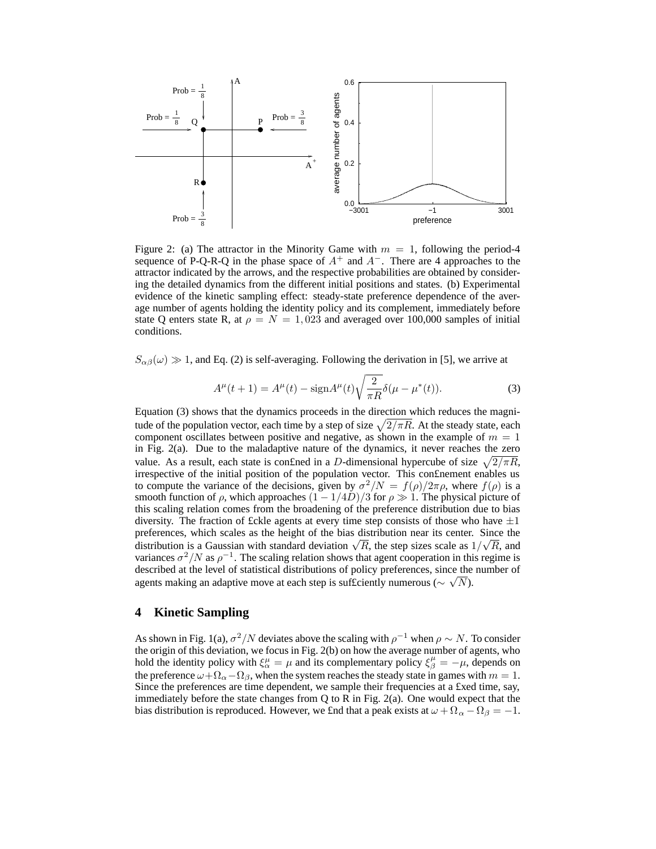

Figure 2: (a) The attractor in the Minority Game with  $m = 1$ , following the period-4 sequence of P-Q-R-Q in the phase space of  $A^+$  and  $A^-$ . There are 4 approaches to the attractor indicated by the arrows, and the respective probabilities are obtained by considering the detailed dynamics from the different initial positions and states. (b) Experimental evidence of the kinetic sampling effect: steady-state preference dependence of the average number of agents holding the identity policy and its complement, immediately before state Q enters state R, at  $\rho = N = 1,023$  and averaged over 100,000 samples of initial conditions.

 $S_{\alpha\beta}(\omega) \gg 1$ , and Eq. (2) is self-averaging. Following the derivation in [5], we arrive at

$$
A^{\mu}(t+1) = A^{\mu}(t) - \text{sign}A^{\mu}(t)\sqrt{\frac{2}{\pi R}}\delta(\mu - \mu^*(t)).
$$
 (3)

Equation (3) shows that the dynamics proceeds in the direction which reduces the magnitude of the population vector, each time by a step of size  $\sqrt{2/\pi R}$ . At the steady state, each component oscillates between positive and negative, as shown in the example of  $m = 1$ in Fig. 2(a). Due to the maladaptive nature of the dynamics, it never reaches the zero value. As a result, each state is confined in a D-dimensional hypercube of size  $\sqrt{2/\pi R}$ , irrespective of the initial position of the population vector. This con£nement enables us to compute the variance of the decisions, given by  $\sigma^2/N = f(\rho)/2\pi\rho$ , where  $f(\rho)$  is a smooth function of  $\rho$ , which approaches  $(1 - 1/4D)/3$  for  $\rho \gg 1$ . The physical picture of this scaling relation comes from the broadening of the preference distribution due to bias diversity. The fraction of £ckle agents at every time step consists of those who have  $\pm 1$ preferences, which scales as the height of the bias distribution near its center. Since the distribution is a Gaussian with standard deviation  $\sqrt{R}$ , the step sizes scale as  $1/\sqrt{R}$ , and variances  $\sigma^2/N$  as  $\rho^{-1}$ . The scaling relation shows that agent cooperation in this regime is described at the level of statistical distributions of policy preferences, since the number of agents making an adaptive move at each step is sufficiently numerous ( $\sim \sqrt{N}$ ).

#### **4 Kinetic Sampling**

As shown in Fig. 1(a),  $\sigma^2/N$  deviates above the scaling with  $\rho^{-1}$  when  $\rho \sim N$ . To consider the origin of this deviation, we focus in Fig. 2(b) on how the average number of agents, who hold the identity policy with  $\xi^{\mu}_{\alpha} = \mu$  and its complementary policy  $\xi^{\mu}_{\beta} = -\mu$ , depends on the preference  $\omega + \Omega_{\alpha} - \Omega_{\beta}$ , when the system reaches the steady state in games with  $m = 1$ . Since the preferences are time dependent, we sample their frequencies at a £xed time, say, immediately before the state changes from Q to R in Fig. 2(a). One would expect that the bias distribution is reproduced. However, we £nd that a peak exists at  $\omega + \Omega_{\alpha} - \Omega_{\beta} = -1$ .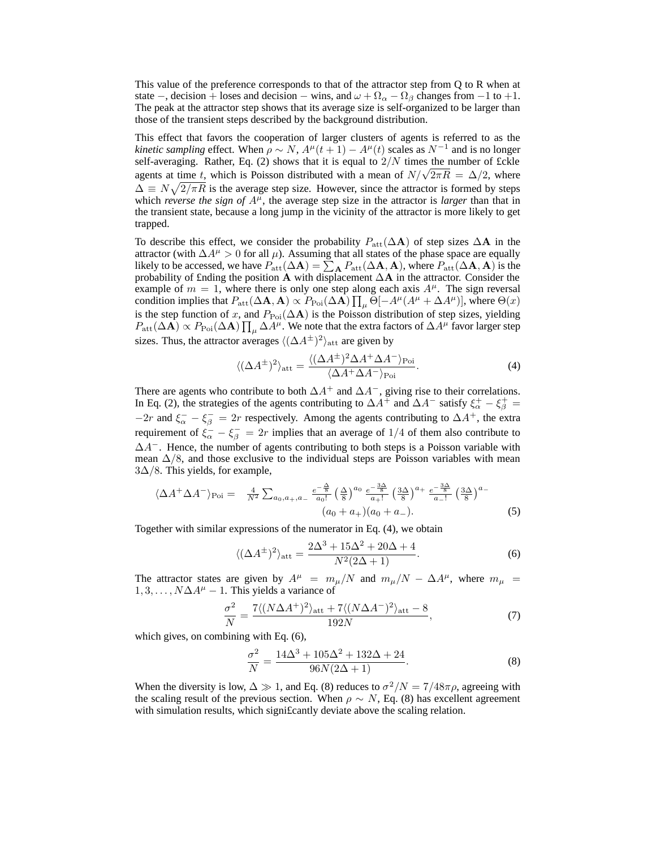This value of the preference corresponds to that of the attractor step from Q to R when at state –, decision + loses and decision – wins, and  $\omega + \Omega_{\alpha} - \Omega_{\beta}$  changes from –1 to +1. The peak at the attractor step shows that its average size is self-organized to be larger than those of the transient steps described by the background distribution.

This effect that favors the cooperation of larger clusters of agents is referred to as the *kinetic sampling* effect. When  $\rho \sim N$ ,  $A^{\mu}(t+1) - A^{\mu}(t)$  scales as  $N^{-1}$  and is no longer self-averaging. Rather, Eq. (2) shows that it is equal to  $2/N$  times the number of £ckle agents at time t, which is Poisson distributed with a mean of  $N/\sqrt{2\pi R} = \Delta/2$ , where  $\Delta \equiv N \sqrt{2/\pi R}$  is the average step size. However, since the attractor is formed by steps which *reverse the sign of*  $A^{\mu}$ , the average step size in the attractor is *larger* than that in the transient state, because a long jump in the vicinity of the attractor is more likely to get trapped.

To describe this effect, we consider the probability  $P_{\text{att}}(\Delta A)$  of step sizes  $\Delta A$  in the attractor (with  $\Delta A^{\mu} > 0$  for all  $\mu$ ). Assuming that all states of the phase space are equally likely to be accessed, we have  $P_{\text{att}}(\Delta \mathbf{A}) = \sum_{\mathbf{A}} P_{\text{att}}(\Delta \mathbf{A}, \mathbf{A})$ , where  $P_{\text{att}}(\Delta \mathbf{A}, \mathbf{A})$  is the probability of £nding the position A with displacement  $\Delta A$  in the attractor. Consider the example of  $m = 1$ , where there is only one step along each axis  $A^{\mu}$ . The sign reversal condition implies that  $P_{\text{att}}(\Delta \mathbf{A}, \mathbf{A}) \propto P_{\text{Poi}}(\Delta \mathbf{A}) \prod_{\mu} \Theta[-A^{\mu}(A^{\mu} + \Delta A^{\mu})]$ , where  $\Theta(x)$ is the step function of x, and  $P_{\text{Poi}}(\Delta \mathbf{A})$  is the Poisson distribution of step sizes, yielding  $P_{\rm att}(\Delta {\bf A}) \propto P_{\rm Poi}(\Delta {\bf A}) \prod_{\mu} \Delta A^{\mu}$ . We note that the extra factors of  $\Delta A^{\mu}$  favor larger step sizes. Thus, the attractor averages  $\langle (\Delta A^{\pm})^2 \rangle_{\rm att}$  are given by

$$
\langle (\Delta A^{\pm})^2 \rangle_{\text{att}} = \frac{\langle (\Delta A^{\pm})^2 \Delta A^+ \Delta A^- \rangle_{\text{Poi}}}{\langle \Delta A^+ \Delta A^- \rangle_{\text{Poi}}}.
$$
 (4)

There are agents who contribute to both  $\Delta A^+$  and  $\Delta A^-$ , giving rise to their correlations. In Eq. (2), the strategies of the agents contributing to  $\Delta A^+$  and  $\Delta A^-$  satisfy  $\xi^+_{\alpha} - \xi^+_{\beta} =$  $-2r$  and  $\xi_{\alpha}^- - \xi_{\beta}^- = 2r$  respectively. Among the agents contributing to  $\Delta A^+$ , the extra requirement of  $\xi_{\alpha}^- - \xi_{\beta}^- = 2r$  implies that an average of 1/4 of them also contribute to  $\Delta A^-$ . Hence, the number of agents contributing to both steps is a Poisson variable with mean  $\Delta/8$ , and those exclusive to the individual steps are Poisson variables with mean  $3\Delta/8$ . This yields, for example,

$$
\langle \Delta A^{+} \Delta A^{-} \rangle_{\text{Poi}} = \frac{4}{N^{2}} \sum_{a_{0}, a_{+}, a_{-}} \frac{e^{-\frac{\Delta}{8}}}{a_{0}!} \left(\frac{\Delta}{8}\right)^{a_{0}} \frac{e^{-\frac{3\Delta}{8}}}{a_{+}!} \left(\frac{3\Delta}{8}\right)^{a_{+}} \frac{e^{-\frac{3\Delta}{8}}}{a_{-}!} \left(\frac{3\Delta}{8}\right)^{a_{-}} \tag{5}
$$

Together with similar expressions of the numerator in Eq. (4), we obtain

$$
\langle (\Delta A^{\pm})^2 \rangle_{\text{att}} = \frac{2\Delta^3 + 15\Delta^2 + 20\Delta + 4}{N^2(2\Delta + 1)}.
$$
 (6)

The attractor states are given by  $A^{\mu} = m_{\mu}/N$  and  $m_{\mu}/N - \Delta A^{\mu}$ , where  $m_{\mu} =$  $1, 3, \ldots, N\Delta A^{\mu} - 1$ . This yields a variance of

$$
\frac{\sigma^2}{N} = \frac{7\langle (N\Delta A^+)^2 \rangle_{\text{att}} + 7\langle (N\Delta A^-)^2 \rangle_{\text{att}} - 8}{192N},\tag{7}
$$

which gives, on combining with Eq. (6),

$$
\frac{\sigma^2}{N} = \frac{14\Delta^3 + 105\Delta^2 + 132\Delta + 24}{96N(2\Delta + 1)}.
$$
\n(8)

When the diversity is low,  $\Delta \gg 1$ , and Eq. (8) reduces to  $\sigma^2/N = 7/48\pi\rho$ , agreeing with the scaling result of the previous section. When  $\rho \sim N$ , Eq. (8) has excellent agreement with simulation results, which significantly deviate above the scaling relation.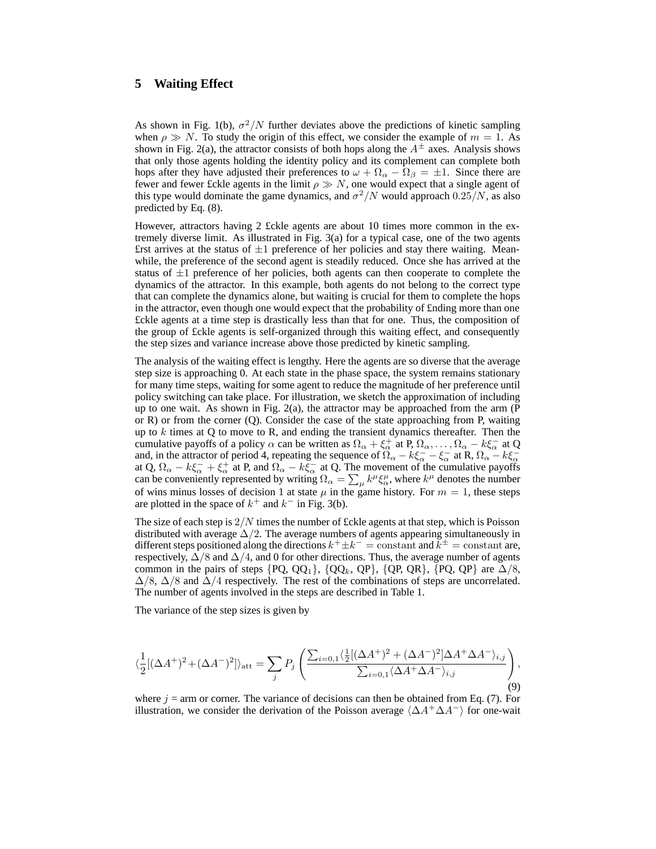## **5 Waiting Effect**

As shown in Fig. 1(b),  $\sigma^2/N$  further deviates above the predictions of kinetic sampling when  $\rho \gg N$ . To study the origin of this effect, we consider the example of  $m = 1$ . As shown in Fig. 2(a), the attractor consists of both hops along the  $A^{\pm}$  axes. Analysis shows that only those agents holding the identity policy and its complement can complete both hops after they have adjusted their preferences to  $\omega + \Omega_{\alpha} - \Omega_{\beta} = \pm 1$ . Since there are fewer and fewer £ckle agents in the limit  $\rho \gg N$ , one would expect that a single agent of this type would dominate the game dynamics, and  $\sigma^2/N$  would approach  $0.25/N$ , as also predicted by Eq. (8).

However, attractors having 2 £ckle agents are about 10 times more common in the extremely diverse limit. As illustrated in Fig. 3(a) for a typical case, one of the two agents £rst arrives at the status of  $\pm 1$  preference of her policies and stay there waiting. Meanwhile, the preference of the second agent is steadily reduced. Once she has arrived at the status of  $\pm 1$  preference of her policies, both agents can then cooperate to complete the dynamics of the attractor. In this example, both agents do not belong to the correct type that can complete the dynamics alone, but waiting is crucial for them to complete the hops in the attractor, even though one would expect that the probability of £nding more than one £ckle agents at a time step is drastically less than that for one. Thus, the composition of the group of £ckle agents is self-organized through this waiting effect, and consequently the step sizes and variance increase above those predicted by kinetic sampling.

The analysis of the waiting effect is lengthy. Here the agents are so diverse that the average step size is approaching 0. At each state in the phase space, the system remains stationary for many time steps, waiting for some agent to reduce the magnitude of her preference until policy switching can take place. For illustration, we sketch the approximation of including up to one wait. As shown in Fig.  $2(a)$ , the attractor may be approached from the arm (P or R) or from the corner (Q). Consider the case of the state approaching from P, waiting up to  $k$  times at Q to move to R, and ending the transient dynamics thereafter. Then the cumulative payoffs of a policy  $\alpha$  can be written as  $\Omega_{\alpha} + \xi_{\alpha}^{+}$  at P,  $\Omega_{\alpha}, \dots, \Omega_{\alpha} - k\xi_{\alpha}^{-}$  at Q and, in the attractor of period 4, repeating the sequence of  $\Omega_{\alpha} - k \xi_{\alpha}^{-} - \xi_{\alpha}^{-}$  at R,  $\Omega_{\alpha} - k \xi_{\alpha}^{-}$ at Q,  $\Omega_{\alpha} - k \xi_{\alpha}^- + \xi_{\alpha}^+$  at P, and  $\Omega_{\alpha} - k \xi_{\alpha}^-$  at Q. The movement of the cumulative payoffs can be conveniently represented by writing  $\Omega_{\alpha} = \sum_{\mu} k^{\mu} \xi_{\alpha}^{\mu}$ , where  $k^{\mu}$  denotes the number of wins minus losses of decision 1 at state  $\mu$  in the game history. For  $m = 1$ , these steps are plotted in the space of  $k^+$  and  $k^-$  in Fig. 3(b).

The size of each step is  $2/N$  times the number of £ckle agents at that step, which is Poisson distributed with average  $\Delta/2$ . The average numbers of agents appearing simultaneously in different steps positioned along the directions  $k^+ \pm k^- = \text{constant}$  and  $\tilde{k}^{\pm} = \text{constant}$  are, respectively,  $\Delta/8$  and  $\Delta/4$ , and 0 for other directions. Thus, the average number of agents common in the pairs of steps  $\{PQ, QQ_1\}$ ,  $\{QQ_k, QP\}$ ,  $\{QP, QR\}$ ,  $\{PQ, QP\}$  are  $\Delta/8$ ,  $\Delta/8$ ,  $\Delta/8$  and  $\Delta/4$  respectively. The rest of the combinations of steps are uncorrelated. The number of agents involved in the steps are described in Table 1.

The variance of the step sizes is given by

$$
\langle \frac{1}{2} [(\Delta A^+)^2 + (\Delta A^-)^2] \rangle_{\text{att}} = \sum_j P_j \left( \frac{\sum_{i=0,1} \langle \frac{1}{2} [(\Delta A^+)^2 + (\Delta A^-)^2] \Delta A^+ \Delta A^- \rangle_{i,j}}{\sum_{i=0,1} \langle \Delta A^+ \Delta A^- \rangle_{i,j}} \right), \tag{9}
$$

where  $j =$  arm or corner. The variance of decisions can then be obtained from Eq. (7). For illustration, we consider the derivation of the Poisson average  $\langle \Delta A^+\Delta A^- \rangle$  for one-wait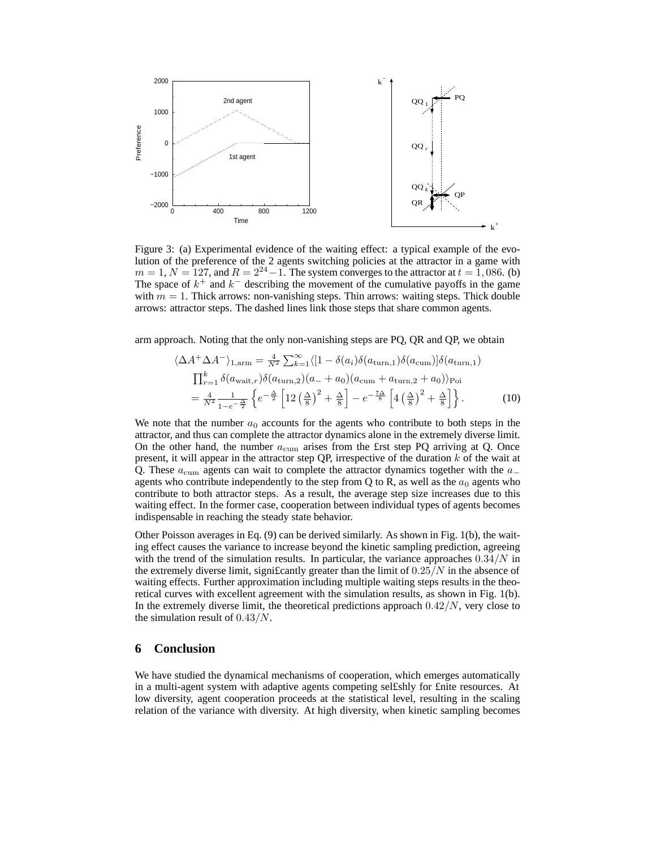

Figure 3: (a) Experimental evidence of the waiting effect: a typical example of the evolution of the preference of the 2 agents switching policies at the attractor in a game with  $m = 1, N = 127$ , and  $R = 2^{24} - 1$ . The system converges to the attractor at  $t = 1,086$ . (b) The space of  $k^+$  and  $k^-$  describing the movement of the cumulative payoffs in the game with  $m = 1$ . Thick arrows: non-vanishing steps. Thin arrows: waiting steps. Thick double arrows: attractor steps. The dashed lines link those steps that share common agents.

arm approach. Noting that the only non-vanishing steps are PQ, QR and QP, we obtain

$$
\langle \Delta A^{+} \Delta A^{-} \rangle_{1, \text{arm}} = \frac{4}{N^{2}} \sum_{k=1}^{\infty} \langle [1 - \delta(a_{i}) \delta(a_{\text{turn},1}) \delta(a_{\text{cum}})] \delta(a_{\text{turn},1})
$$
  

$$
\prod_{r=1}^{k} \delta(a_{\text{wait},r}) \delta(a_{\text{turn},2}) (a_{-} + a_{0}) (a_{\text{cum}} + a_{\text{turn},2} + a_{0}) \rangle_{\text{Poi}}
$$
  

$$
= \frac{4}{N^{2}} \frac{1}{1 - e^{-\frac{\Delta}{2}}} \left\{ e^{-\frac{\Delta}{2}} \left[ 12 \left( \frac{\Delta}{8} \right)^{2} + \frac{\Delta}{8} \right] - e^{-\frac{7\Delta}{8}} \left[ 4 \left( \frac{\Delta}{8} \right)^{2} + \frac{\Delta}{8} \right] \right\}.
$$
 (10)

We note that the number  $a_0$  accounts for the agents who contribute to both steps in the attractor, and thus can complete the attractor dynamics alone in the extremely diverse limit. On the other hand, the number  $a_{\text{cum}}$  arises from the £rst step PQ arriving at Q. Once present, it will appear in the attractor step QP, irrespective of the duration  $k$  of the wait at Q. These  $a_{\text{cum}}$  agents can wait to complete the attractor dynamics together with the  $a_{-}$ agents who contribute independently to the step from Q to R, as well as the  $a_0$  agents who contribute to both attractor steps. As a result, the average step size increases due to this waiting effect. In the former case, cooperation between individual types of agents becomes indispensable in reaching the steady state behavior.

Other Poisson averages in Eq. (9) can be derived similarly. As shown in Fig. 1(b), the waiting effect causes the variance to increase beyond the kinetic sampling prediction, agreeing with the trend of the simulation results. In particular, the variance approaches  $0.34/N$  in the extremely diverse limit, significantly greater than the limit of  $0.25/N$  in the absence of waiting effects. Further approximation including multiple waiting steps results in the theoretical curves with excellent agreement with the simulation results, as shown in Fig. 1(b). In the extremely diverse limit, the theoretical predictions approach  $0.42/N$ , very close to the simulation result of  $0.43/N$ .

#### **6 Conclusion**

We have studied the dynamical mechanisms of cooperation, which emerges automatically in a multi-agent system with adaptive agents competing sel£shly for £nite resources. At low diversity, agent cooperation proceeds at the statistical level, resulting in the scaling relation of the variance with diversity. At high diversity, when kinetic sampling becomes